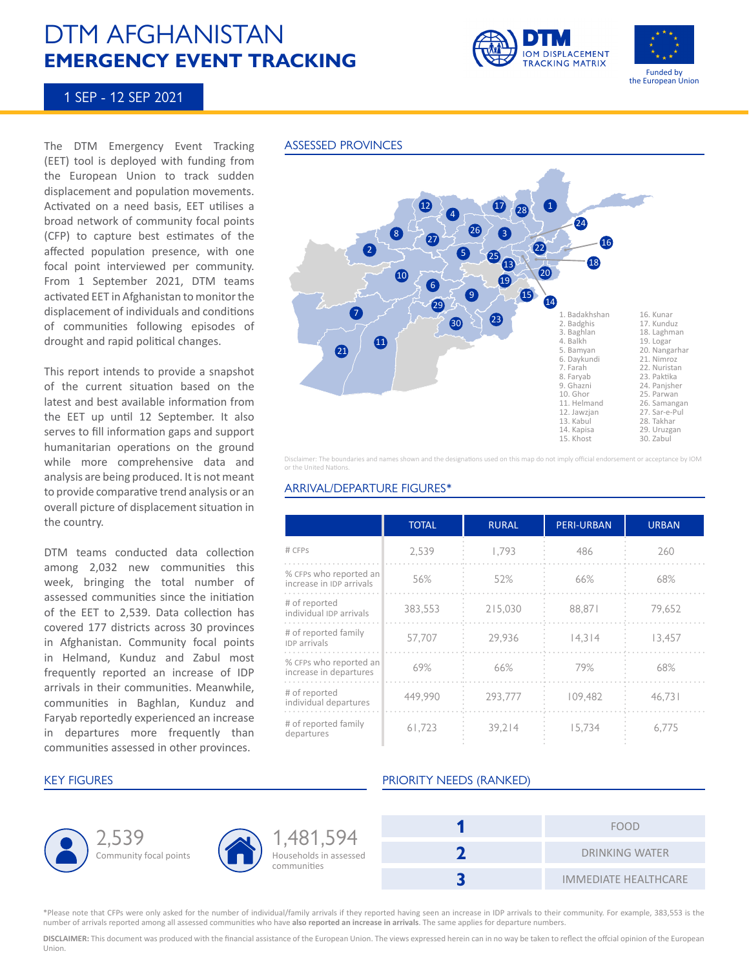# DTM AFGHANISTAN **EMERGENCY EVENT TRACKING**





## 1 SEP - 12 SEP 2021

The DTM Emergency Event Tracking (EET) tool is deployed with funding from the European Union to track sudden displacement and population movements. Activated on a need basis, EET utilises a broad network of community focal points (CFP) to capture best estimates of the affected population presence, with one focal point interviewed per community. From 1 September 2021, DTM teams activated EET in Afghanistan to monitor the displacement of individuals and conditions of communities following episodes of drought and rapid political changes.

This report intends to provide a snapshot of the current situation based on the latest and best available information from the EET up until 12 September. It also serves to fill information gaps and support humanitarian operations on the ground while more comprehensive data and analysis are being produced. It is not meant to provide comparative trend analysis or an overall picture of displacement situation in the country.

DTM teams conducted data collection among 2,032 new communities this week, bringing the total number of assessed communities since the initiation of the EET to 2,539. Data collection has covered 177 districts across 30 provinces in Afghanistan. Community focal points in Helmand, Kunduz and Zabul most frequently reported an increase of IDP arrivals in their communities. Meanwhile, communities in Baghlan, Kunduz and Faryab reportedly experienced an increase in departures more frequently than communities assessed in other provinces.

### ASSESSED PROVINCES



Disclaimer: The boundaries and names shown and the designations used on this map do not imply official endorsement or acceptance by IOM or the United Nations.

### ARRIVAL/DEPARTURE FIGURES\*

|                                                    | <b>TOTAL</b> | <b>RURAL</b> | <b>PERI-URBAN</b> | <b>URBAN</b> |
|----------------------------------------------------|--------------|--------------|-------------------|--------------|
| # CFPS                                             | 2.539        | 1.793        | 486               | 260          |
| % CFPs who reported an<br>increase in IDP arrivals | 56%          | 52%          | 66%               | 68%          |
| # of reported<br>individual IDP arrivals           | 383,553      | 215.030      | 88.871            | 79,652       |
| # of reported family<br><b>IDP</b> arrivals        | 57.707       | 29.936       | 14.314            | 13.457       |
| % CFPs who reported an<br>increase in departures   | 69%          | 66%          | 79%               | 68%          |
| # of reported<br>individual departures             | 449.990      | 293.777      | 109.482           | 46.731       |
| # of reported family<br>departures                 | 61.723       | 39.214       | 15,734            | 6.775        |





Households in assessed communities 1,481,594

### KEY FIGURES **EXECUTES** PRIORITY NEEDS (RANKED)

| <b>FOOD</b>                 |
|-----------------------------|
| <b>DRINKING WATER</b>       |
| <b>IMMEDIATE HEALTHCARE</b> |

\*Please note that CFPs were only asked for the number of individual/family arrivals if they reported having seen an increase in IDP arrivals to their community. For example, 383,553 is the number of arrivals reported among all assessed communities who have **also reported an increase in arrivals**. The same applies for departure numbers.

**DISCLAIMER:** This document was produced with the financial assistance of the European Union. The views expressed herein can in no way be taken to reflect the offcial opinion of the European Union.